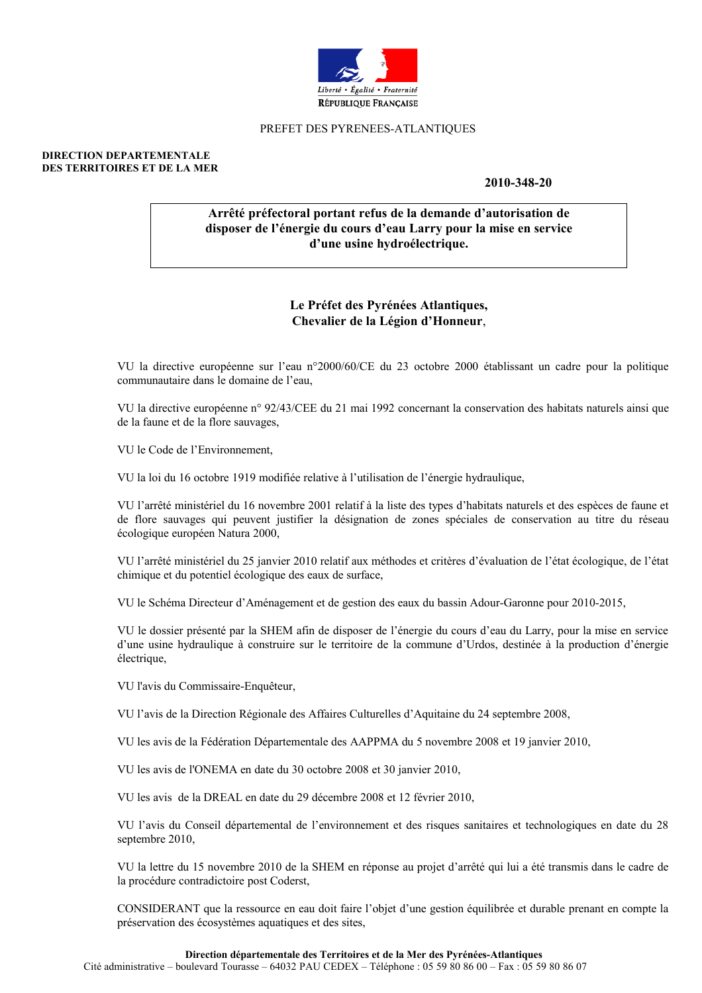

### PREFET DES PYRENEES-ATLANTIOUES

#### **DIRECTION DEPARTEMENTALE** DES TERRITOIRES ET DE LA MER

2010-348-20

# Arrêté préfectoral portant refus de la demande d'autorisation de disposer de l'énergie du cours d'eau Larry pour la mise en service d'une usine hydroélectrique.

# Le Préfet des Pyrénées Atlantiques, Chevalier de la Légion d'Honneur,

VU la directive européenne sur l'eau n°2000/60/CE du 23 octobre 2000 établissant un cadre pour la politique communautaire dans le domaine de l'eau.

VU la directive européenne n° 92/43/CEE du 21 mai 1992 concernant la conservation des habitats naturels ainsi que de la faune et de la flore sauvages.

VU le Code de l'Environnement,

VU la loi du 16 octobre 1919 modifiée relative à l'utilisation de l'énergie hydraulique.

VU l'arrêté ministériel du 16 novembre 2001 relatif à la liste des types d'habitats naturels et des espèces de faune et de flore sauvages qui peuvent justifier la désignation de zones spéciales de conservation au titre du réseau écologique européen Natura 2000,

VU l'arrêté ministériel du 25 janvier 2010 relatif aux méthodes et critères d'évaluation de l'état écologique, de l'état chimique et du potentiel écologique des eaux de surface,

VU le Schéma Directeur d'Aménagement et de gestion des eaux du bassin Adour-Garonne pour 2010-2015,

VU le dossier présenté par la SHEM afin de disposer de l'énergie du cours d'eau du Larry, pour la mise en service d'une usine hydraulique à construire sur le territoire de la commune d'Urdos, destinée à la production d'énergie électrique.

VU l'avis du Commissaire-Enquêteur,

VU l'avis de la Direction Régionale des Affaires Culturelles d'Aquitaine du 24 septembre 2008,

VU les avis de la Fédération Départementale des AAPPMA du 5 novembre 2008 et 19 janvier 2010,

VU les avis de l'ONEMA en date du 30 octobre 2008 et 30 janvier 2010,

VU les avis de la DREAL en date du 29 décembre 2008 et 12 février 2010.

VU l'avis du Conseil départemental de l'environnement et des risques sanitaires et technologiques en date du 28 septembre 2010,

VU la lettre du 15 novembre 2010 de la SHEM en réponse au projet d'arrêté qui lui a été transmis dans le cadre de la procédure contradictoire post Coderst,

CONSIDERANT que la ressource en eau doit faire l'objet d'une gestion équilibrée et durable prenant en compte la préservation des écosystèmes aquatiques et des sites,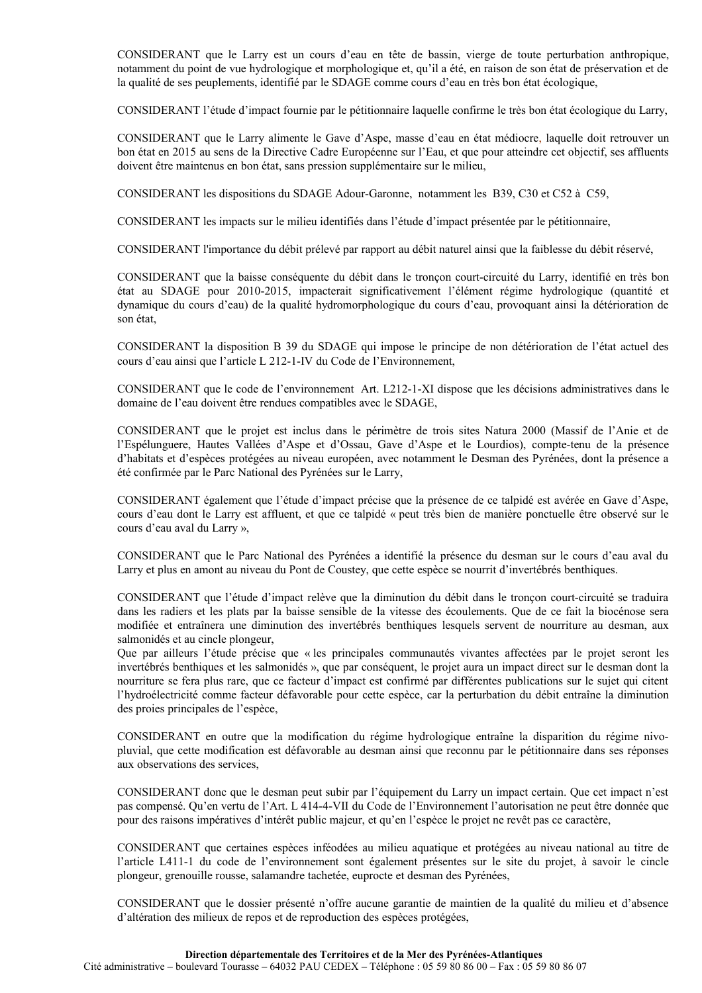CONSIDERANT que le Larry est un cours d'eau en tête de bassin, vierge de toute perturbation anthropique, notamment du point de vue hydrologique et morphologique et, qu'il a été, en raison de son état de préservation et de la qualité de ses peuplements, identifié par le SDAGE comme cours d'eau en très bon état écologique,

CONSIDERANT l'étude d'impact fournie par le pétitionnaire laquelle confirme le très bon état écologique du Larry,

CONSIDERANT que le Larry alimente le Gave d'Aspe, masse d'eau en état médiocre, laquelle doit retrouver un bon état en 2015 au sens de la Directive Cadre Européenne sur l'Eau, et que pour atteindre cet objectif, ses affluents doivent être maintenus en bon état, sans pression supplémentaire sur le milieu,

CONSIDERANT les dispositions du SDAGE Adour-Garonne, notamment les B39, C30 et C52 à C59,

CONSIDERANT les impacts sur le milieu identifiés dans l'étude d'impact présentée par le pétitionnaire.

CONSIDERANT l'importance du débit prélevé par rapport au débit naturel ainsi que la faiblesse du débit réservé,

CONSIDERANT que la baisse conséquente du débit dans le tronçon court-circuité du Larry, identifié en très bon état au SDAGE pour 2010-2015, impacterait significativement l'élément régime hydrologique (quantité et dynamique du cours d'eau) de la qualité hydromorphologique du cours d'eau, provoquant ainsi la détérioration de son état.

CONSIDERANT la disposition B 39 du SDAGE qui impose le principe de non détérioration de l'état actuel des cours d'eau ainsi que l'article L 212-1-IV du Code de l'Environnement,

CONSIDERANT que le code de l'environnement Art. L212-1-XI dispose que les décisions administratives dans le domaine de l'eau doivent être rendues compatibles avec le SDAGE,

CONSIDERANT que le projet est inclus dans le périmètre de trois sites Natura 2000 (Massif de l'Anie et de l'Espélunguere, Hautes Vallées d'Aspe et d'Ossau, Gave d'Aspe et le Lourdios), compte-tenu de la présence d'habitats et d'espèces protégées au niveau européen, avec notamment le Desman des Pyrénées, dont la présence a été confirmée par le Parc National des Pyrénées sur le Larry,

CONSIDERANT également que l'étude d'impact précise que la présence de ce talpidé est avérée en Gave d'Aspe, cours d'eau dont le Larry est affluent, et que ce talpidé « peut très bien de manière ponctuelle être observé sur le cours d'eau aval du Larry »,

CONSIDERANT que le Parc National des Pyrénées a identifié la présence du desman sur le cours d'eau aval du Larry et plus en amont au niveau du Pont de Coustey, que cette espèce se nourrit d'invertébrés benthiques.

CONSIDERANT que l'étude d'impact relève que la diminution du débit dans le tronçon court-circuité se traduira dans les radiers et les plats par la baisse sensible de la vitesse des écoulements. Que de ce fait la biocénose sera modifiée et entraînera une diminution des invertébrés benthiques lesquels servent de nourriture au desman, aux salmonidés et au cincle plongeur,

Que par ailleurs l'étude précise que « les principales communautés vivantes affectées par le projet seront les invertébrés benthiques et les salmonidés », que par conséquent, le projet aura un impact direct sur le desman dont la nourriture se fera plus rare, que ce facteur d'impact est confirmé par différentes publications sur le sujet qui citent l'hydroélectricité comme facteur défavorable pour cette espèce, car la perturbation du débit entraîne la diminution des proies principales de l'espèce,

CONSIDERANT en outre que la modification du régime hydrologique entraîne la disparition du régime nivopluvial, que cette modification est défavorable au desman ainsi que reconnu par le pétitionnaire dans ses réponses aux observations des services.

CONSIDERANT donc que le desman peut subir par l'équipement du Larry un impact certain. Que cet impact n'est pas compensé. Qu'en vertu de l'Art. L 414-4-VII du Code de l'Environnement l'autorisation ne peut être donnée que pour des raisons impératives d'intérêt public majeur, et qu'en l'espèce le projet ne revêt pas ce caractère,

CONSIDERANT que certaines espèces inféodées au milieu aquatique et protégées au niveau national au titre de l'article L411-1 du code de l'environnement sont également présentes sur le site du projet, à savoir le cincle plongeur, grenouille rousse, salamandre tachetée, euprocte et desman des Pyrénées,

CONSIDERANT que le dossier présenté n'offre aucune garantie de maintien de la qualité du milieu et d'absence d'altération des milieux de repos et de reproduction des espèces protégées,